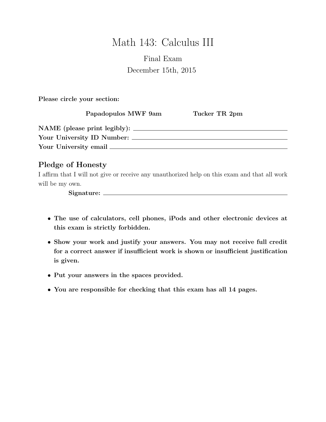# Math 143: Calculus III

# Final Exam December 15th, 2015

Please circle your section:

Papadopulos MWF 9am Tucker TR 2pm

| NAME (please print legibly): |  |
|------------------------------|--|
| Your University ID Number:   |  |
| Your University email        |  |

# Pledge of Honesty

I affirm that I will not give or receive any unauthorized help on this exam and that all work will be my own.

Signature:

- The use of calculators, cell phones, iPods and other electronic devices at this exam is strictly forbidden.
- Show your work and justify your answers. You may not receive full credit for a correct answer if insufficient work is shown or insufficient justification is given.
- Put your answers in the spaces provided.
- You are responsible for checking that this exam has all 14 pages.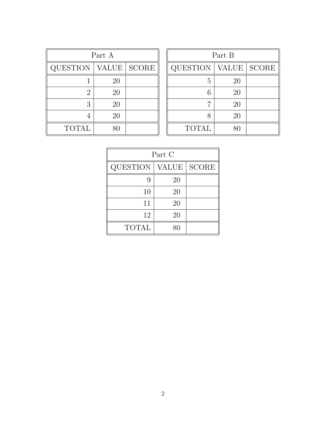| Part A       |             |  |  |  |
|--------------|-------------|--|--|--|
| QUESTION     | VALUE SCORE |  |  |  |
|              | 20          |  |  |  |
| 2            | 20          |  |  |  |
| 3            | 20          |  |  |  |
|              | 20          |  |  |  |
| <b>TOTAL</b> |             |  |  |  |

| Part B          |                    |              |  |  |
|-----------------|--------------------|--------------|--|--|
| <b>QUESTION</b> | VALUE <sup> </sup> | <b>SCORE</b> |  |  |
| 5               | 20                 |              |  |  |
| 6               | 20                 |              |  |  |
| 7               | 20                 |              |  |  |
| 8               | 20                 |              |  |  |
| <b>TOTAL</b>    | 80                 |              |  |  |

| Part C       |    |               |  |  |
|--------------|----|---------------|--|--|
| QUESTION     |    | VALUE   SCORE |  |  |
| 9            | 20 |               |  |  |
| 10           | 20 |               |  |  |
| 11           | 20 |               |  |  |
| 12           | 20 |               |  |  |
| <b>TOTAL</b> |    |               |  |  |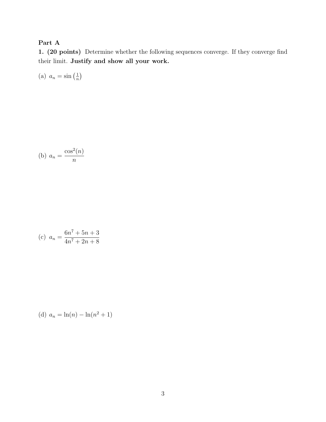# Part A

1. (20 points) Determine whether the following sequences converge. If they converge find their limit. Justify and show all your work.

(a)  $a_n = \sin\left(\frac{1}{n}\right)$  $\frac{1}{n}$ 

$$
(b) \ a_n = \frac{\cos^2(n)}{n}
$$

(c) 
$$
a_n = \frac{6n^7 + 5n + 3}{4n^7 + 2n + 8}
$$

(d) 
$$
a_n = \ln(n) - \ln(n^2 + 1)
$$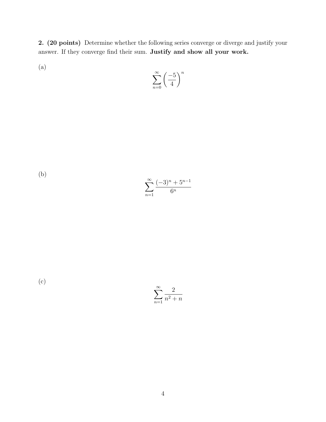2. (20 points) Determine whether the following series converge or diverge and justify your answer. If they converge find their sum. Justify and show all your work.

(a)

$$
\sum_{n=0}^{\infty} \left(\frac{-5}{4}\right)^n
$$

(b)

$$
\sum_{n=1}^{\infty} \frac{(-3)^n + 5^{n-1}}{6^n}
$$

(c)

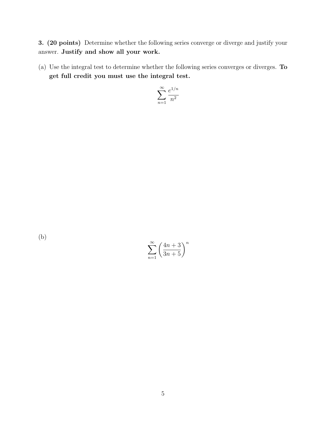3. (20 points) Determine whether the following series converge or diverge and justify your answer. Justify and show all your work.

(a) Use the integral test to determine whether the following series converges or diverges. To get full credit you must use the integral test.

$$
\sum_{n=1}^{\infty} \frac{e^{1/n}}{n^2}
$$

(b)

$$
\sum_{n=1}^{\infty} \left( \frac{4n+3}{3n+5} \right)^n
$$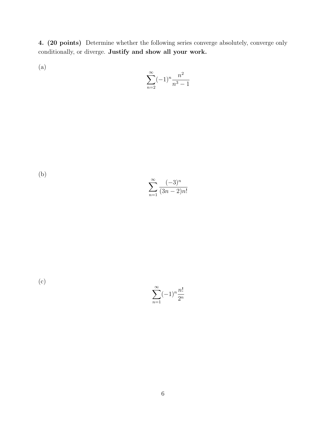4. (20 points) Determine whether the following series converge absolutely, converge only conditionally, or diverge. Justify and show all your work.

(a)

$$
\sum_{n=2}^{\infty} (-1)^n \frac{n^2}{n^3 - 1}
$$

(b)

$$
\sum_{n=1}^{\infty} \frac{(-3)^n}{(3n-2)n!}
$$

(c)

 $\sum^{\infty}$  $n=1$  $(-1)^n \frac{n!}{2^n}$  $2^n$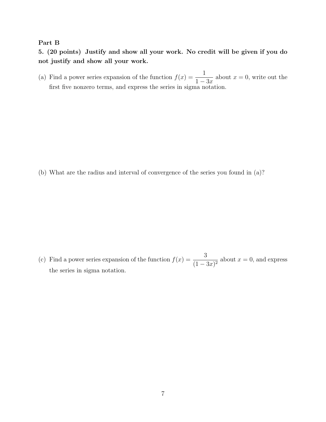#### Part B

5. (20 points) Justify and show all your work. No credit will be given if you do not justify and show all your work.

(a) Find a power series expansion of the function  $f(x) = \frac{1}{1-x^2}$  $1 - 3x$ about  $x = 0$ , write out the first five nonzero terms, and express the series in sigma notation.

(b) What are the radius and interval of convergence of the series you found in (a)?

(c) Find a power series expansion of the function  $f(x) = \frac{3}{(1-x)^2}$  $\frac{3}{(1-3x)^2}$  about  $x=0$ , and express the series in sigma notation.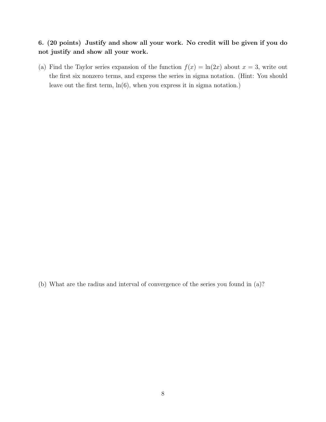### 6. (20 points) Justify and show all your work. No credit will be given if you do not justify and show all your work.

(a) Find the Taylor series expansion of the function  $f(x) = \ln(2x)$  about  $x = 3$ , write out the first six nonzero terms, and express the series in sigma notation. (Hint: You should leave out the first term,  $\ln(6)$ , when you express it in sigma notation.)

(b) What are the radius and interval of convergence of the series you found in (a)?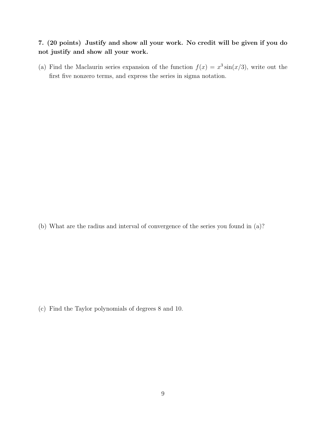# 7. (20 points) Justify and show all your work. No credit will be given if you do not justify and show all your work.

(a) Find the Maclaurin series expansion of the function  $f(x) = x^3 \sin(x/3)$ , write out the first five nonzero terms, and express the series in sigma notation.

(b) What are the radius and interval of convergence of the series you found in (a)?

(c) Find the Taylor polynomials of degrees 8 and 10.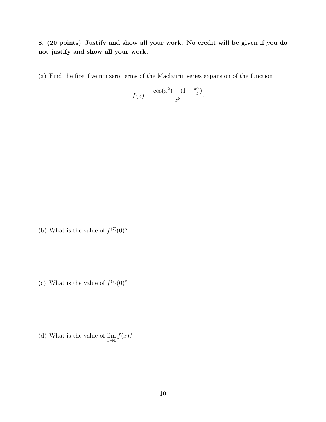8. (20 points) Justify and show all your work. No credit will be given if you do not justify and show all your work.

(a) Find the first five nonzero terms of the Maclaurin series expansion of the function

$$
f(x) = \frac{\cos(x^2) - (1 - \frac{x^4}{2})}{x^8}.
$$

(b) What is the value of  $f^{(7)}(0)$ ?

(c) What is the value of  $f^{(8)}(0)$ ?

(d) What is the value of  $\lim_{x\to 0} f(x)$ ?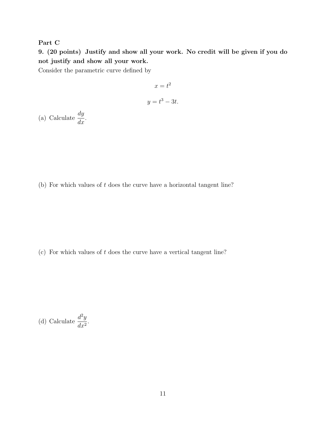### Part C

9. (20 points) Justify and show all your work. No credit will be given if you do not justify and show all your work.

Consider the parametric curve defined by

$$
x = t^2
$$

$$
y = t^3 - 3t.
$$

(a) Calculate  $\frac{dy}{dx}$  $\frac{dy}{dx}$ .

(b) For which values of t does the curve have a horizontal tangent line?

(c) For which values of  $t$  does the curve have a vertical tangent line?

(d) Calculate 
$$
\frac{d^2y}{dx^2}
$$
.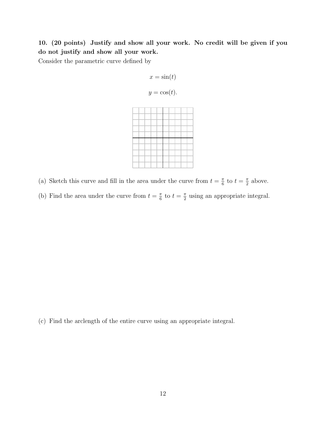10. (20 points) Justify and show all your work. No credit will be given if you do not justify and show all your work.

Consider the parametric curve defined by

$$
x = \sin(t)
$$

$$
y = \cos(t).
$$



(b) Find the area under the curve from  $t = \frac{\pi}{6}$  $\frac{\pi}{6}$  to  $t = \frac{\pi}{2}$  $\frac{\pi}{2}$  using an appropriate integral.

(c) Find the arclength of the entire curve using an appropriate integral.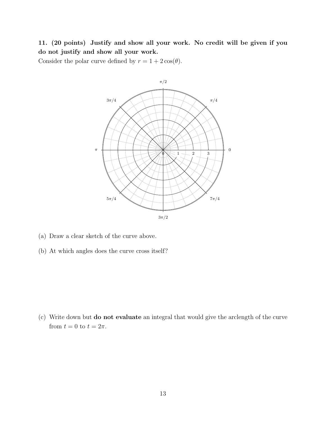11. (20 points) Justify and show all your work. No credit will be given if you do not justify and show all your work.

Consider the polar curve defined by  $r = 1 + 2\cos(\theta)$ .



- (a) Draw a clear sketch of the curve above.
- (b) At which angles does the curve cross itself?

(c) Write down but do not evaluate an integral that would give the arclength of the curve from  $t = 0$  to  $t = 2\pi$ .